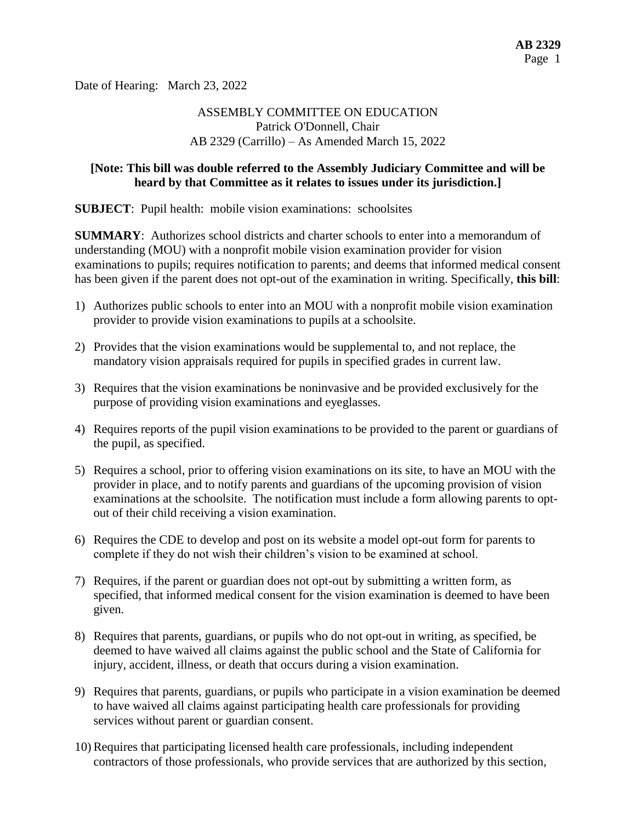Date of Hearing: March 23, 2022

# ASSEMBLY COMMITTEE ON EDUCATION Patrick O'Donnell, Chair AB 2329 (Carrillo) – As Amended March 15, 2022

### **[Note: This bill was double referred to the Assembly Judiciary Committee and will be heard by that Committee as it relates to issues under its jurisdiction.]**

**SUBJECT**: Pupil health: mobile vision examinations: schoolsites

**SUMMARY**: Authorizes school districts and charter schools to enter into a memorandum of understanding (MOU) with a nonprofit mobile vision examination provider for vision examinations to pupils; requires notification to parents; and deems that informed medical consent has been given if the parent does not opt-out of the examination in writing. Specifically, **this bill**:

- 1) Authorizes public schools to enter into an MOU with a nonprofit mobile vision examination provider to provide vision examinations to pupils at a schoolsite.
- 2) Provides that the vision examinations would be supplemental to, and not replace, the mandatory vision appraisals required for pupils in specified grades in current law.
- 3) Requires that the vision examinations be noninvasive and be provided exclusively for the purpose of providing vision examinations and eyeglasses.
- 4) Requires reports of the pupil vision examinations to be provided to the parent or guardians of the pupil, as specified.
- 5) Requires a school, prior to offering vision examinations on its site, to have an MOU with the provider in place, and to notify parents and guardians of the upcoming provision of vision examinations at the schoolsite. The notification must include a form allowing parents to optout of their child receiving a vision examination.
- 6) Requires the CDE to develop and post on its website a model opt-out form for parents to complete if they do not wish their children's vision to be examined at school.
- 7) Requires, if the parent or guardian does not opt-out by submitting a written form, as specified, that informed medical consent for the vision examination is deemed to have been given.
- 8) Requires that parents, guardians, or pupils who do not opt-out in writing, as specified, be deemed to have waived all claims against the public school and the State of California for injury, accident, illness, or death that occurs during a vision examination.
- 9) Requires that parents, guardians, or pupils who participate in a vision examination be deemed to have waived all claims against participating health care professionals for providing services without parent or guardian consent.
- 10) Requires that participating licensed health care professionals, including independent contractors of those professionals, who provide services that are authorized by this section,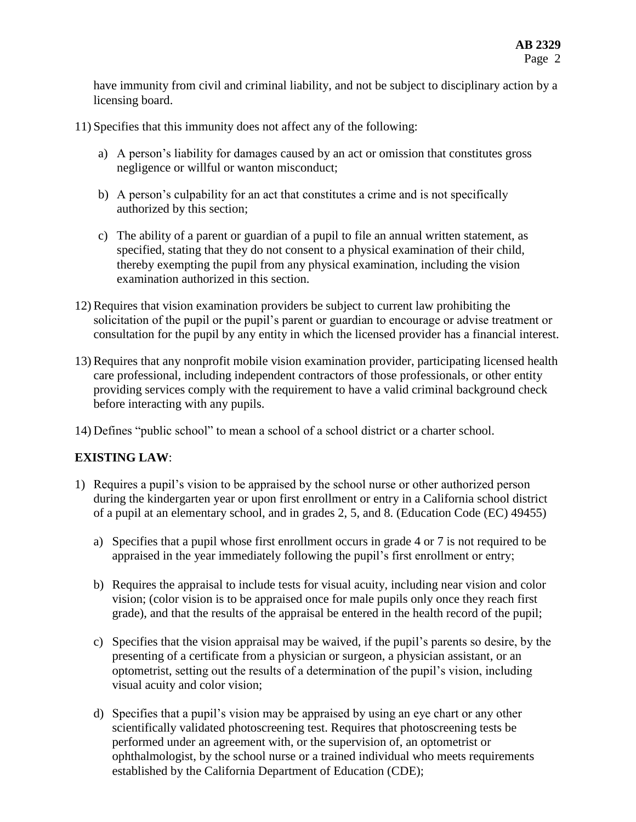have immunity from civil and criminal liability, and not be subject to disciplinary action by a licensing board.

11) Specifies that this immunity does not affect any of the following:

- a) A person's liability for damages caused by an act or omission that constitutes gross negligence or willful or wanton misconduct;
- b) A person's culpability for an act that constitutes a crime and is not specifically authorized by this section;
- c) The ability of a parent or guardian of a pupil to file an annual written statement, as specified, stating that they do not consent to a physical examination of their child, thereby exempting the pupil from any physical examination, including the vision examination authorized in this section.
- 12) Requires that vision examination providers be subject to current law prohibiting the solicitation of the pupil or the pupil's parent or guardian to encourage or advise treatment or consultation for the pupil by any entity in which the licensed provider has a financial interest.
- 13) Requires that any nonprofit mobile vision examination provider, participating licensed health care professional, including independent contractors of those professionals, or other entity providing services comply with the requirement to have a valid criminal background check before interacting with any pupils.
- 14) Defines "public school" to mean a school of a school district or a charter school.

# **EXISTING LAW**:

- 1) Requires a pupil's vision to be appraised by the school nurse or other authorized person during the kindergarten year or upon first enrollment or entry in a California school district of a pupil at an elementary school, and in grades 2, 5, and 8. (Education Code (EC) 49455)
	- a) Specifies that a pupil whose first enrollment occurs in grade 4 or 7 is not required to be appraised in the year immediately following the pupil's first enrollment or entry;
	- b) Requires the appraisal to include tests for visual acuity, including near vision and color vision; (color vision is to be appraised once for male pupils only once they reach first grade), and that the results of the appraisal be entered in the health record of the pupil;
	- c) Specifies that the vision appraisal may be waived, if the pupil's parents so desire, by the presenting of a certificate from a physician or surgeon, a physician assistant, or an optometrist, setting out the results of a determination of the pupil's vision, including visual acuity and color vision;
	- d) Specifies that a pupil's vision may be appraised by using an eye chart or any other scientifically validated photoscreening test. Requires that photoscreening tests be performed under an agreement with, or the supervision of, an optometrist or ophthalmologist, by the school nurse or a trained individual who meets requirements established by the California Department of Education (CDE);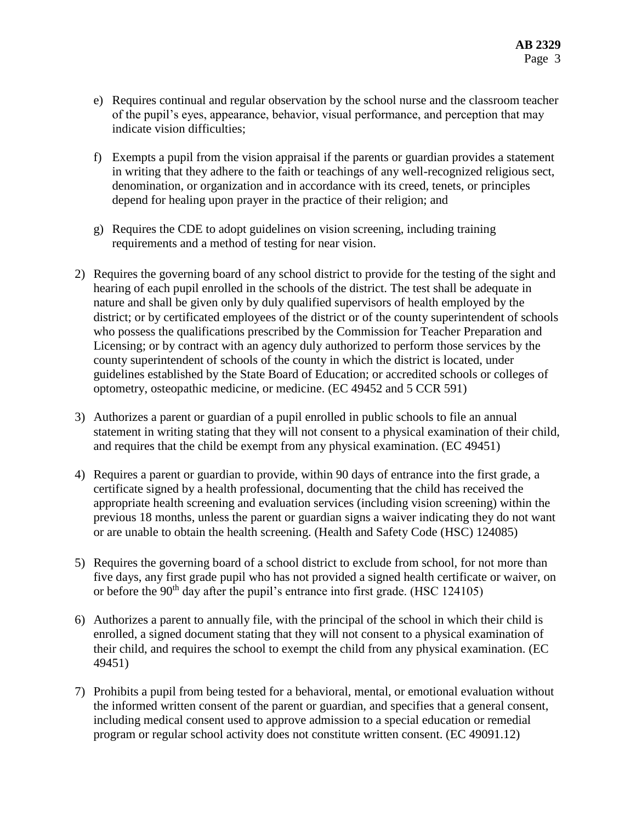- e) Requires continual and regular observation by the school nurse and the classroom teacher of the pupil's eyes, appearance, behavior, visual performance, and perception that may indicate vision difficulties;
- f) Exempts a pupil from the vision appraisal if the parents or guardian provides a statement in writing that they adhere to the faith or teachings of any well-recognized religious sect, denomination, or organization and in accordance with its creed, tenets, or principles depend for healing upon prayer in the practice of their religion; and
- g) Requires the CDE to adopt guidelines on vision screening, including training requirements and a method of testing for near vision.
- 2) Requires the governing board of any school district to provide for the testing of the sight and hearing of each pupil enrolled in the schools of the district. The test shall be adequate in nature and shall be given only by duly qualified supervisors of health employed by the district; or by certificated employees of the district or of the county superintendent of schools who possess the qualifications prescribed by the Commission for Teacher Preparation and Licensing; or by contract with an agency duly authorized to perform those services by the county superintendent of schools of the county in which the district is located, under guidelines established by the State Board of Education; or accredited schools or colleges of optometry, osteopathic medicine, or medicine. (EC 49452 and 5 CCR 591)
- 3) Authorizes a parent or guardian of a pupil enrolled in public schools to file an annual statement in writing stating that they will not consent to a physical examination of their child, and requires that the child be exempt from any physical examination. (EC 49451)
- 4) Requires a parent or guardian to provide, within 90 days of entrance into the first grade, a certificate signed by a health professional, documenting that the child has received the appropriate health screening and evaluation services (including vision screening) within the previous 18 months, unless the parent or guardian signs a waiver indicating they do not want or are unable to obtain the health screening. (Health and Safety Code (HSC) 124085)
- 5) Requires the governing board of a school district to exclude from school, for not more than five days, any first grade pupil who has not provided a signed health certificate or waiver, on or before the  $90<sup>th</sup>$  day after the pupil's entrance into first grade. (HSC 124105)
- 6) Authorizes a parent to annually file, with the principal of the school in which their child is enrolled, a signed document stating that they will not consent to a physical examination of their child, and requires the school to exempt the child from any physical examination. (EC 49451)
- 7) Prohibits a pupil from being tested for a behavioral, mental, or emotional evaluation without the informed written consent of the parent or guardian, and specifies that a general consent, including medical consent used to approve admission to a special education or remedial program or regular school activity does not constitute written consent. (EC 49091.12)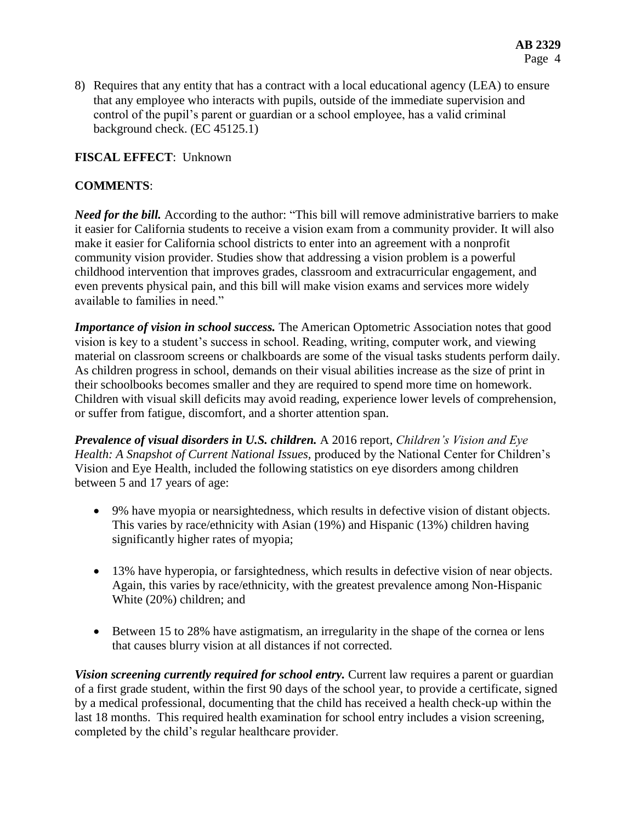8) Requires that any entity that has a contract with a local educational agency (LEA) to ensure that any employee who interacts with pupils, outside of the immediate supervision and control of the pupil's parent or guardian or a school employee, has a valid criminal background check. (EC 45125.1)

### **FISCAL EFFECT**: Unknown

## **COMMENTS**:

*Need for the bill.* According to the author: "This bill will remove administrative barriers to make it easier for California students to receive a vision exam from a community provider. It will also make it easier for California school districts to enter into an agreement with a nonprofit community vision provider. Studies show that addressing a vision problem is a powerful childhood intervention that improves grades, classroom and extracurricular engagement, and even prevents physical pain, and this bill will make vision exams and services more widely available to families in need."

*Importance of vision in school success.* The American Optometric Association notes that good vision is key to a student's success in school. Reading, writing, computer work, and viewing material on classroom screens or chalkboards are some of the visual tasks students perform daily. As children progress in school, demands on their visual abilities increase as the size of print in their schoolbooks becomes smaller and they are required to spend more time on homework. Children with visual skill deficits may avoid reading, experience lower levels of comprehension, or suffer from fatigue, discomfort, and a shorter attention span.

*Prevalence of visual disorders in U.S. children.* A 2016 report, *Children's Vision and Eye Health: A Snapshot of Current National Issues,* produced by the National Center for Children's Vision and Eye Health, included the following statistics on eye disorders among children between 5 and 17 years of age:

- 9% have myopia or nearsightedness, which results in defective vision of distant objects. This varies by race/ethnicity with Asian (19%) and Hispanic (13%) children having significantly higher rates of myopia;
- 13% have hyperopia, or farsightedness, which results in defective vision of near objects. Again, this varies by race/ethnicity, with the greatest prevalence among Non-Hispanic White (20%) children; and
- Between 15 to 28% have astigmatism, an irregularity in the shape of the cornea or lens that causes blurry vision at all distances if not corrected.

*Vision screening currently required for school entry.* Current law requires a parent or guardian of a first grade student, within the first 90 days of the school year, to provide a certificate, signed by a medical professional, documenting that the child has received a health check-up within the last 18 months. This required health examination for school entry includes a vision screening, completed by the child's regular healthcare provider.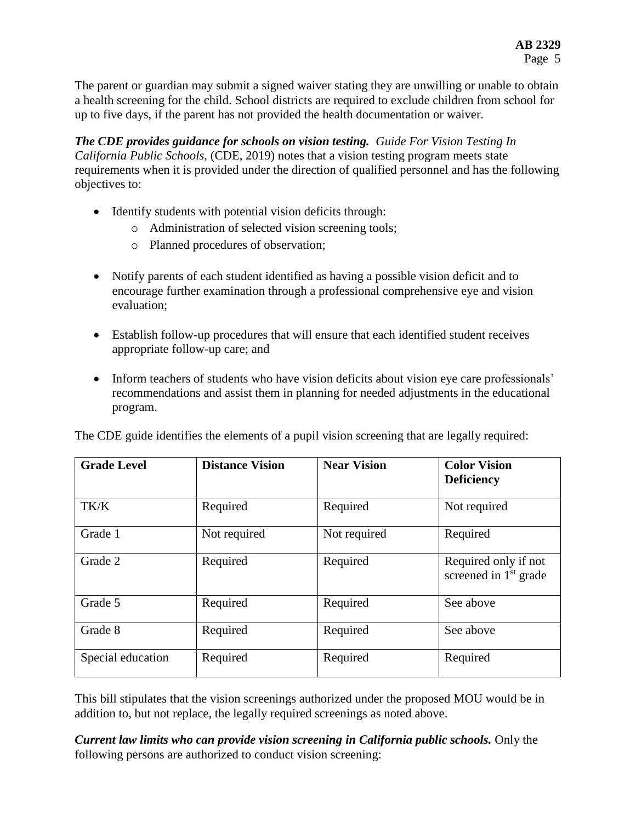The parent or guardian may submit a signed waiver stating they are unwilling or unable to obtain a health screening for the child. School districts are required to exclude children from school for up to five days, if the parent has not provided the health documentation or waiver.

*The CDE provides guidance for schools on vision testing. Guide For Vision Testing In California Public Schools,* (CDE, 2019) notes that a vision testing program meets state requirements when it is provided under the direction of qualified personnel and has the following objectives to:

- Identify students with potential vision deficits through:
	- o Administration of selected vision screening tools;
	- o Planned procedures of observation;
- Notify parents of each student identified as having a possible vision deficit and to encourage further examination through a professional comprehensive eye and vision evaluation;
- Establish follow-up procedures that will ensure that each identified student receives appropriate follow-up care; and
- Inform teachers of students who have vision deficits about vision eye care professionals' recommendations and assist them in planning for needed adjustments in the educational program.

| <b>Grade Level</b> | <b>Distance Vision</b> | <b>Near Vision</b> | <b>Color Vision</b><br><b>Deficiency</b>                  |
|--------------------|------------------------|--------------------|-----------------------------------------------------------|
| TK/K               | Required               | Required           | Not required                                              |
| Grade 1            | Not required           | Not required       | Required                                                  |
| Grade 2            | Required               | Required           | Required only if not<br>screened in 1 <sup>st</sup> grade |
| Grade 5            | Required               | Required           | See above                                                 |
| Grade 8            | Required               | Required           | See above                                                 |
| Special education  | Required               | Required           | Required                                                  |

The CDE guide identifies the elements of a pupil vision screening that are legally required:

This bill stipulates that the vision screenings authorized under the proposed MOU would be in addition to, but not replace, the legally required screenings as noted above.

*Current law limits who can provide vision screening in California public schools.* Only the following persons are authorized to conduct vision screening: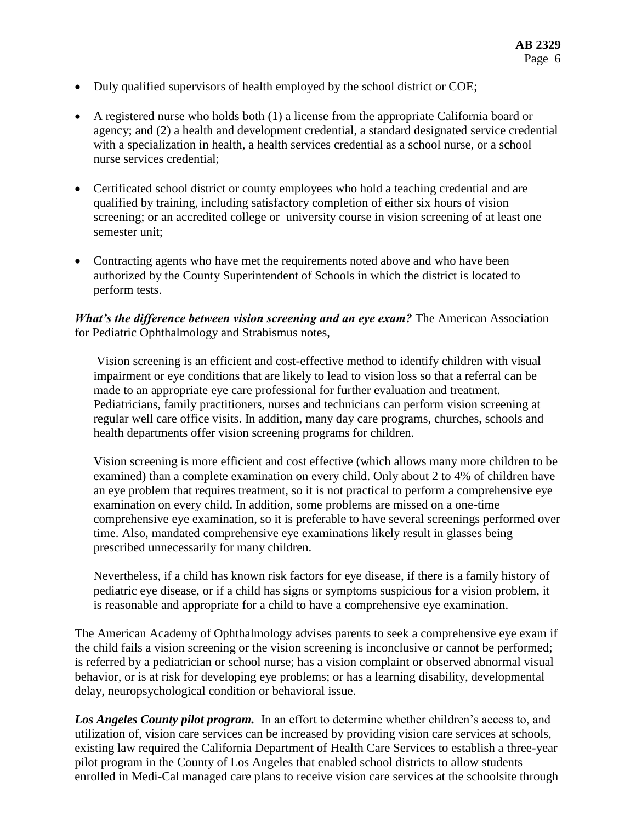- Duly qualified supervisors of health employed by the school district or COE;
- A registered nurse who holds both (1) a license from the appropriate California board or agency; and (2) a health and development credential, a standard designated service credential with a specialization in health, a health services credential as a school nurse, or a school nurse services credential;
- Certificated school district or county employees who hold a teaching credential and are qualified by training, including satisfactory completion of either six hours of vision screening; or an accredited college or university course in vision screening of at least one semester unit;
- Contracting agents who have met the requirements noted above and who have been authorized by the County Superintendent of Schools in which the district is located to perform tests.

*What's the difference between vision screening and an eye exam?* The American Association for Pediatric Ophthalmology and Strabismus notes,

Vision screening is an efficient and cost-effective method to identify children with visual impairment or eye conditions that are likely to lead to vision loss so that a referral can be made to an appropriate eye care professional for further evaluation and treatment. Pediatricians, family practitioners, nurses and technicians can perform vision screening at regular well care office visits. In addition, many day care programs, churches, schools and health departments offer vision screening programs for children.

Vision screening is more efficient and cost effective (which allows many more children to be examined) than a complete examination on every child. Only about 2 to 4% of children have an eye problem that requires treatment, so it is not practical to perform a comprehensive eye examination on every child. In addition, some problems are missed on a one-time comprehensive eye examination, so it is preferable to have several screenings performed over time. Also, mandated comprehensive eye examinations likely result in glasses being prescribed unnecessarily for many children.

Nevertheless, if a child has known risk factors for eye disease, if there is a family history of pediatric eye disease, or if a child has signs or symptoms suspicious for a vision problem, it is reasonable and appropriate for a child to have a comprehensive eye examination.

The American Academy of Ophthalmology advises parents to seek a comprehensive eye exam if the child fails a vision screening or the vision screening is inconclusive or cannot be performed; is referred by a pediatrician or school nurse; has a vision complaint or observed abnormal visual behavior, or is at risk for developing eye problems; or has a learning disability, developmental delay, neuropsychological condition or behavioral issue.

*Los Angeles County pilot program.* In an effort to determine whether children's access to, and utilization of, vision care services can be increased by providing vision care services at schools, existing law required the California Department of Health Care Services to establish a three-year pilot program in the County of Los Angeles that enabled school districts to allow students enrolled in Medi-Cal managed care plans to receive vision care services at the schoolsite through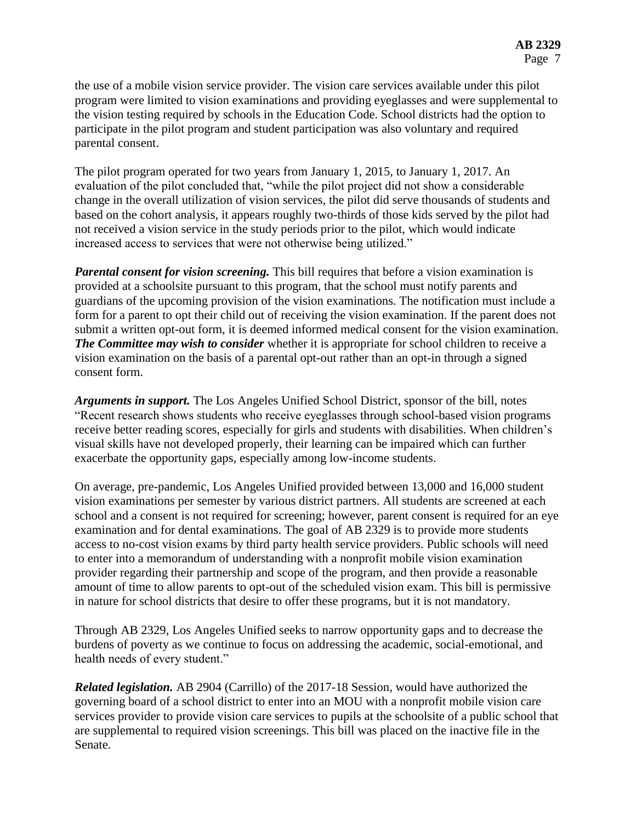the use of a mobile vision service provider. The vision care services available under this pilot program were limited to vision examinations and providing eyeglasses and were supplemental to the vision testing required by schools in the Education Code. School districts had the option to participate in the pilot program and student participation was also voluntary and required parental consent.

The pilot program operated for two years from January 1, 2015, to January 1, 2017. An evaluation of the pilot concluded that, "while the pilot project did not show a considerable change in the overall utilization of vision services, the pilot did serve thousands of students and based on the cohort analysis, it appears roughly two-thirds of those kids served by the pilot had not received a vision service in the study periods prior to the pilot, which would indicate increased access to services that were not otherwise being utilized."

*Parental consent for vision screening.* This bill requires that before a vision examination is provided at a schoolsite pursuant to this program, that the school must notify parents and guardians of the upcoming provision of the vision examinations. The notification must include a form for a parent to opt their child out of receiving the vision examination. If the parent does not submit a written opt-out form, it is deemed informed medical consent for the vision examination. *The Committee may wish to consider* whether it is appropriate for school children to receive a vision examination on the basis of a parental opt-out rather than an opt-in through a signed consent form.

*Arguments in support.* The Los Angeles Unified School District, sponsor of the bill, notes "Recent research shows students who receive eyeglasses through school-based vision programs receive better reading scores, especially for girls and students with disabilities. When children's visual skills have not developed properly, their learning can be impaired which can further exacerbate the opportunity gaps, especially among low-income students.

On average, pre-pandemic, Los Angeles Unified provided between 13,000 and 16,000 student vision examinations per semester by various district partners. All students are screened at each school and a consent is not required for screening; however, parent consent is required for an eye examination and for dental examinations. The goal of AB 2329 is to provide more students access to no-cost vision exams by third party health service providers. Public schools will need to enter into a memorandum of understanding with a nonprofit mobile vision examination provider regarding their partnership and scope of the program, and then provide a reasonable amount of time to allow parents to opt-out of the scheduled vision exam. This bill is permissive in nature for school districts that desire to offer these programs, but it is not mandatory.

Through AB 2329, Los Angeles Unified seeks to narrow opportunity gaps and to decrease the burdens of poverty as we continue to focus on addressing the academic, social-emotional, and health needs of every student."

*Related legislation.* AB 2904 (Carrillo) of the 2017-18 Session, would have authorized the governing board of a school district to enter into an MOU with a nonprofit mobile vision care services provider to provide vision care services to pupils at the schoolsite of a public school that are supplemental to required vision screenings. This bill was placed on the inactive file in the Senate.